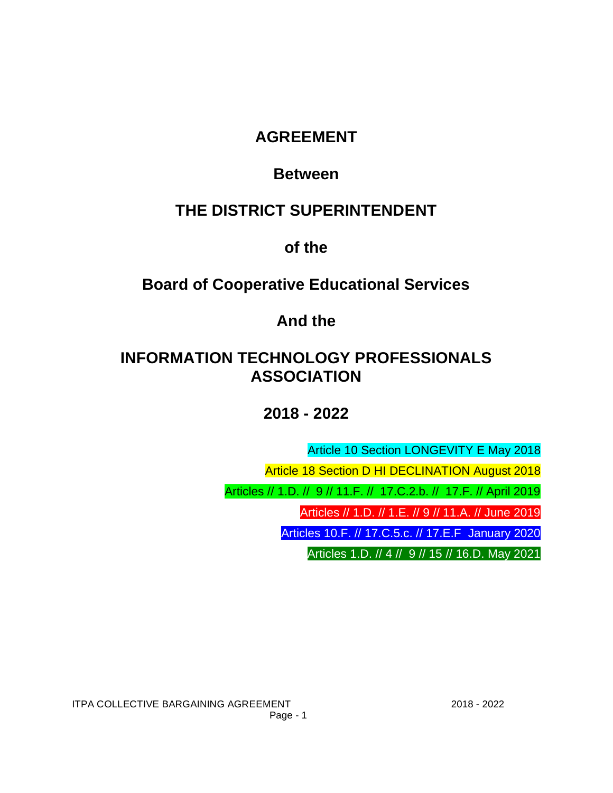## **AGREEMENT**

## **Between**

# **THE DISTRICT SUPERINTENDENT**

**of the**

## **Board of Cooperative Educational Services**

**And the**

## **INFORMATION TECHNOLOGY PROFESSIONALS ASSOCIATION**

**2018 - 2022**

Article 10 Section LONGEVITY E May 2018

Article 18 Section D HI DECLINATION August 2018

Articles // 1.D. // 9 // 11.F. // 17.C.2.b. // 17.F. // April 2019

Articles // 1.D. // 1.E. // 9 // 11.A. // June 2019

Articles 10.F. // 17.C.5.c. // 17.E.F January 2020

Articles 1.D. // 4 // 9 // 15 // 16.D. May 2021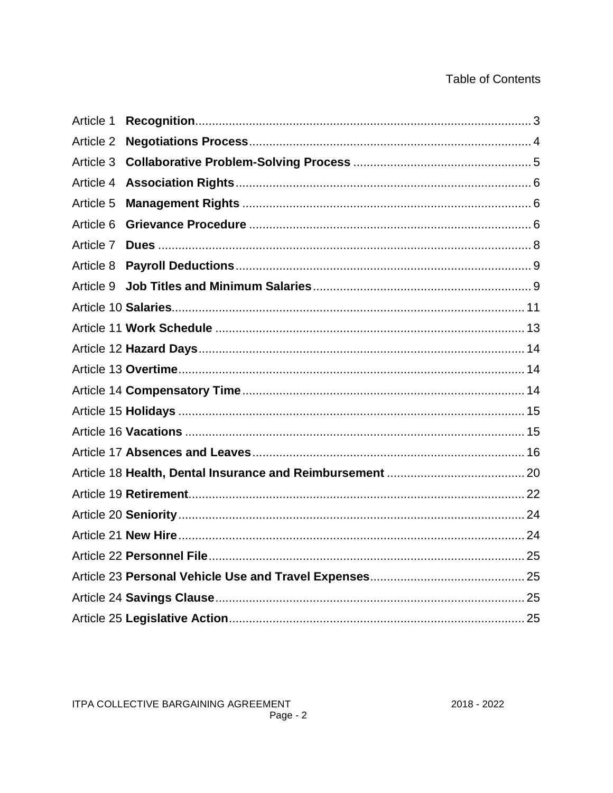## **Table of Contents**

| Article 1 |  |
|-----------|--|
| Article 2 |  |
| Article 3 |  |
| Article 4 |  |
| Article 5 |  |
| Article 6 |  |
| Article 7 |  |
| Article 8 |  |
| Article 9 |  |
|           |  |
|           |  |
|           |  |
|           |  |
|           |  |
|           |  |
|           |  |
|           |  |
|           |  |
|           |  |
|           |  |
|           |  |
|           |  |
|           |  |
|           |  |
|           |  |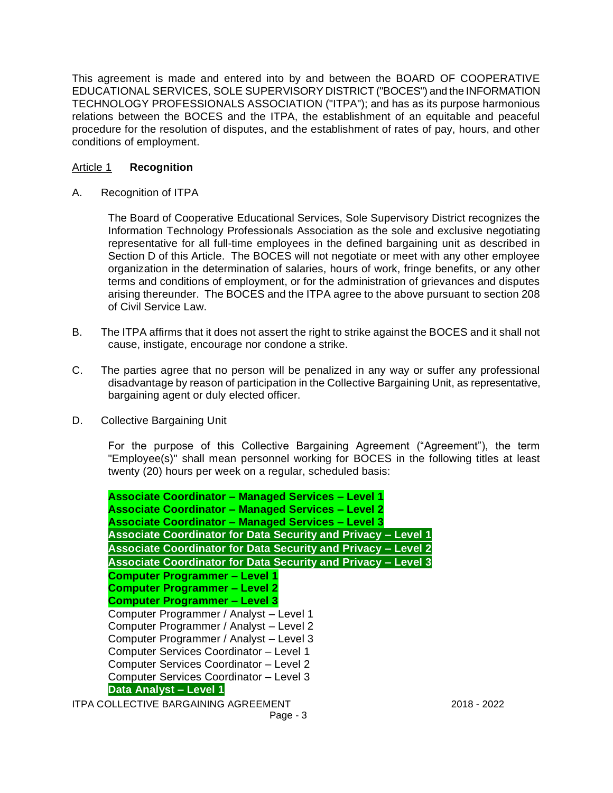This agreement is made and entered into by and between the BOARD OF COOPERATIVE EDUCATIONAL SERVICES, SOLE SUPERVISORY DISTRICT ("BOCES") and the INFORMATION TECHNOLOGY PROFESSIONALS ASSOCIATION ("ITPA"); and has as its purpose harmonious relations between the BOCES and the ITPA, the establishment of an equitable and peaceful procedure for the resolution of disputes, and the establishment of rates of pay, hours, and other conditions of employment.

## Article 1 **Recognition**

A. Recognition of ITPA

The Board of Cooperative Educational Services, Sole Supervisory District recognizes the Information Technology Professionals Association as the sole and exclusive negotiating representative for all full-time employees in the defined bargaining unit as described in Section D of this Article. The BOCES will not negotiate or meet with any other employee organization in the determination of salaries, hours of work, fringe benefits, or any other terms and conditions of employment, or for the administration of grievances and disputes arising thereunder. The BOCES and the ITPA agree to the above pursuant to section 208 of Civil Service Law.

- B. The ITPA affirms that it does not assert the right to strike against the BOCES and it shall not cause, instigate, encourage nor condone a strike.
- C. The parties agree that no person will be penalized in any way or suffer any professional disadvantage by reason of participation in the Collective Bargaining Unit, as representative, bargaining agent or duly elected officer.
- D. Collective Bargaining Unit

For the purpose of this Collective Bargaining Agreement ("Agreement"), the term "Employee(s)" shall mean personnel working for BOCES in the following titles at least twenty (20) hours per week on a regular, scheduled basis:

ITPA COLLECTIVE BARGAINING AGREEMENT 2018 - 2022 **Associate Coordinator – Managed Services – Level 1 Associate Coordinator – Managed Services – Level 2 Associate Coordinator – Managed Services – Level 3 Associate Coordinator for Data Security and Privacy – Level 1 Associate Coordinator for Data Security and Privacy – Level 2 Associate Coordinator for Data Security and Privacy – Level 3 Computer Programmer – Level 1 Computer Programmer – Level 2 Computer Programmer – Level 3** Computer Programmer / Analyst – Level 1 Computer Programmer / Analyst – Level 2 Computer Programmer / Analyst – Level 3 Computer Services Coordinator – Level 1 Computer Services Coordinator – Level 2 Computer Services Coordinator – Level 3 **Data Analyst – Level 1**

Page - 3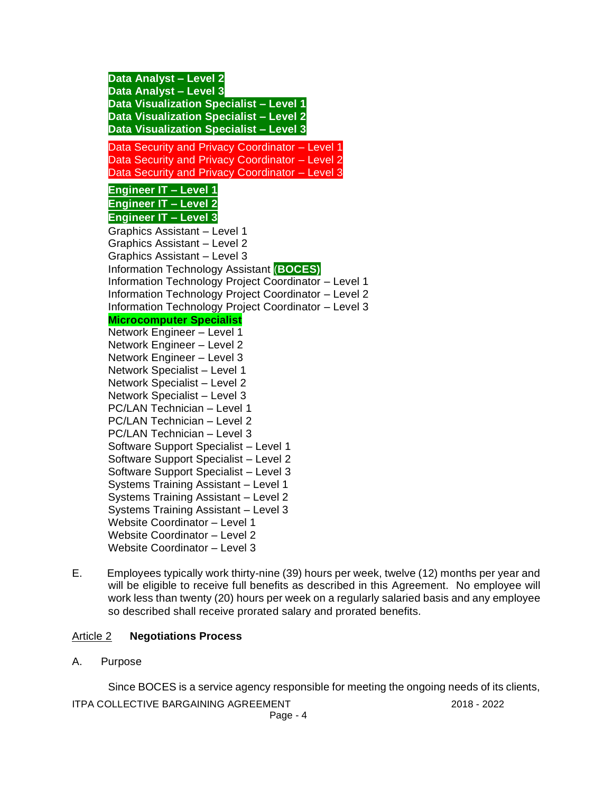**Data Analyst – Level 2 Data Analyst – Level 3 Data Visualization Specialist – Level 1 Data Visualization Specialist – Level 2 Data Visualization Specialist – Level 3** Data Security and Privacy Coordinator – Level 1 Data Security and Privacy Coordinator – Level 2 Data Security and Privacy Coordinator – Level 3 **Engineer IT – Level 1 Engineer IT – Level 2 Engineer IT – Level 3** Graphics Assistant – Level 1 Graphics Assistant – Level 2 Graphics Assistant – Level 3 Information Technology Assistant (**BOCES)** Information Technology Project Coordinator – Level 1 Information Technology Project Coordinator – Level 2 Information Technology Project Coordinator – Level 3 **Microcomputer Specialist** Network Engineer – Level 1 Network Engineer – Level 2 Network Engineer – Level 3 Network Specialist – Level 1 Network Specialist – Level 2 Network Specialist – Level 3 PC/LAN Technician – Level 1 PC/LAN Technician – Level 2 PC/LAN Technician – Level 3 Software Support Specialist – Level 1 Software Support Specialist – Level 2 Software Support Specialist – Level 3 Systems Training Assistant – Level 1 Systems Training Assistant – Level 2 Systems Training Assistant – Level 3 Website Coordinator – Level 1 Website Coordinator – Level 2 Website Coordinator – Level 3

E. Employees typically work thirty-nine (39) hours per week, twelve (12) months per year and will be eligible to receive full benefits as described in this Agreement. No employee will work less than twenty (20) hours per week on a regularly salaried basis and any employee so described shall receive prorated salary and prorated benefits.

## Article 2 **Negotiations Process**

A. Purpose

Since BOCES is a service agency responsible for meeting the ongoing needs of its clients,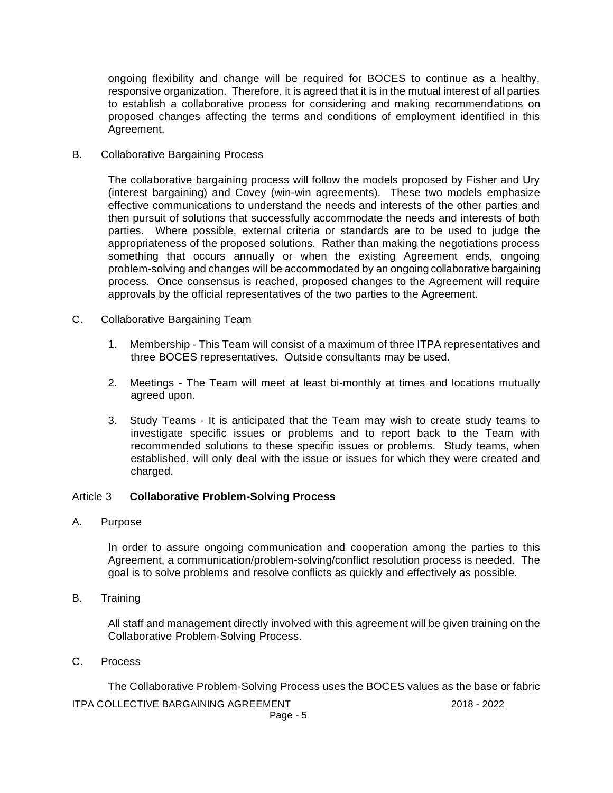ongoing flexibility and change will be required for BOCES to continue as a healthy, responsive organization. Therefore, it is agreed that it is in the mutual interest of all parties to establish a collaborative process for considering and making recommendations on proposed changes affecting the terms and conditions of employment identified in this Agreement.

B. Collaborative Bargaining Process

The collaborative bargaining process will follow the models proposed by Fisher and Ury (interest bargaining) and Covey (win-win agreements). These two models emphasize effective communications to understand the needs and interests of the other parties and then pursuit of solutions that successfully accommodate the needs and interests of both parties. Where possible, external criteria or standards are to be used to judge the appropriateness of the proposed solutions. Rather than making the negotiations process something that occurs annually or when the existing Agreement ends, ongoing problem-solving and changes will be accommodated by an ongoing collaborative bargaining process. Once consensus is reached, proposed changes to the Agreement will require approvals by the official representatives of the two parties to the Agreement.

- C. Collaborative Bargaining Team
	- 1. Membership This Team will consist of a maximum of three ITPA representatives and three BOCES representatives. Outside consultants may be used.
	- 2. Meetings The Team will meet at least bi-monthly at times and locations mutually agreed upon.
	- 3. Study Teams It is anticipated that the Team may wish to create study teams to investigate specific issues or problems and to report back to the Team with recommended solutions to these specific issues or problems. Study teams, when established, will only deal with the issue or issues for which they were created and charged.

#### Article 3 **Collaborative Problem-Solving Process**

A. Purpose

In order to assure ongoing communication and cooperation among the parties to this Agreement, a communication/problem-solving/conflict resolution process is needed. The goal is to solve problems and resolve conflicts as quickly and effectively as possible.

B. Training

All staff and management directly involved with this agreement will be given training on the Collaborative Problem-Solving Process.

C. Process

The Collaborative Problem-Solving Process uses the BOCES values as the base or fabric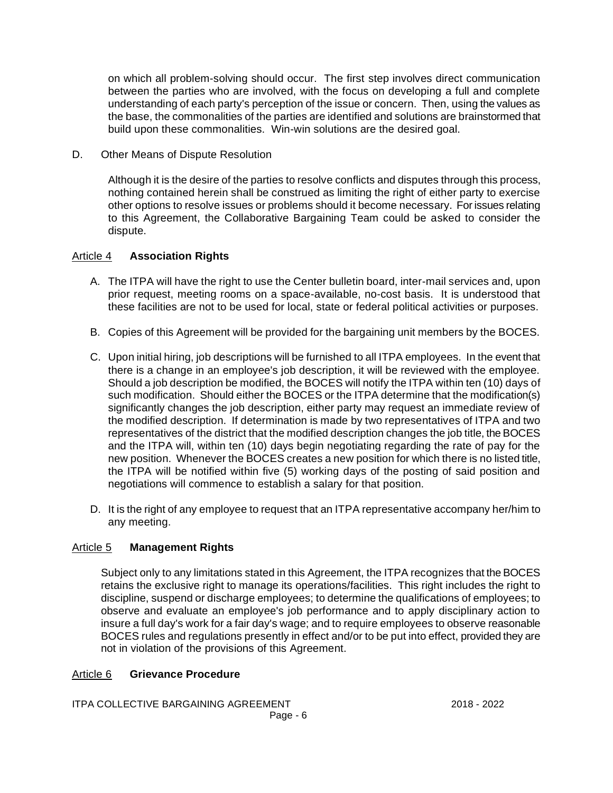on which all problem-solving should occur. The first step involves direct communication between the parties who are involved, with the focus on developing a full and complete understanding of each party's perception of the issue or concern. Then, using the values as the base, the commonalities of the parties are identified and solutions are brainstormed that build upon these commonalities. Win-win solutions are the desired goal.

D. Other Means of Dispute Resolution

Although it is the desire of the parties to resolve conflicts and disputes through this process, nothing contained herein shall be construed as limiting the right of either party to exercise other options to resolve issues or problems should it become necessary. For issues relating to this Agreement, the Collaborative Bargaining Team could be asked to consider the dispute.

## Article 4 **Association Rights**

- A. The ITPA will have the right to use the Center bulletin board, inter-mail services and, upon prior request, meeting rooms on a space-available, no-cost basis. It is understood that these facilities are not to be used for local, state or federal political activities or purposes.
- B. Copies of this Agreement will be provided for the bargaining unit members by the BOCES.
- C. Upon initial hiring, job descriptions will be furnished to all ITPA employees. In the event that there is a change in an employee's job description, it will be reviewed with the employee. Should a job description be modified, the BOCES will notify the ITPA within ten (10) days of such modification. Should either the BOCES or the ITPA determine that the modification(s) significantly changes the job description, either party may request an immediate review of the modified description. If determination is made by two representatives of ITPA and two representatives of the district that the modified description changes the job title, the BOCES and the ITPA will, within ten (10) days begin negotiating regarding the rate of pay for the new position. Whenever the BOCES creates a new position for which there is no listed title, the ITPA will be notified within five (5) working days of the posting of said position and negotiations will commence to establish a salary for that position.
- D. It is the right of any employee to request that an ITPA representative accompany her/him to any meeting.

## Article 5 **Management Rights**

Subject only to any limitations stated in this Agreement, the ITPA recognizes that the BOCES retains the exclusive right to manage its operations/facilities. This right includes the right to discipline, suspend or discharge employees; to determine the qualifications of employees; to observe and evaluate an employee's job performance and to apply disciplinary action to insure a full day's work for a fair day's wage; and to require employees to observe reasonable BOCES rules and regulations presently in effect and/or to be put into effect, provided they are not in violation of the provisions of this Agreement.

## Article 6 **Grievance Procedure**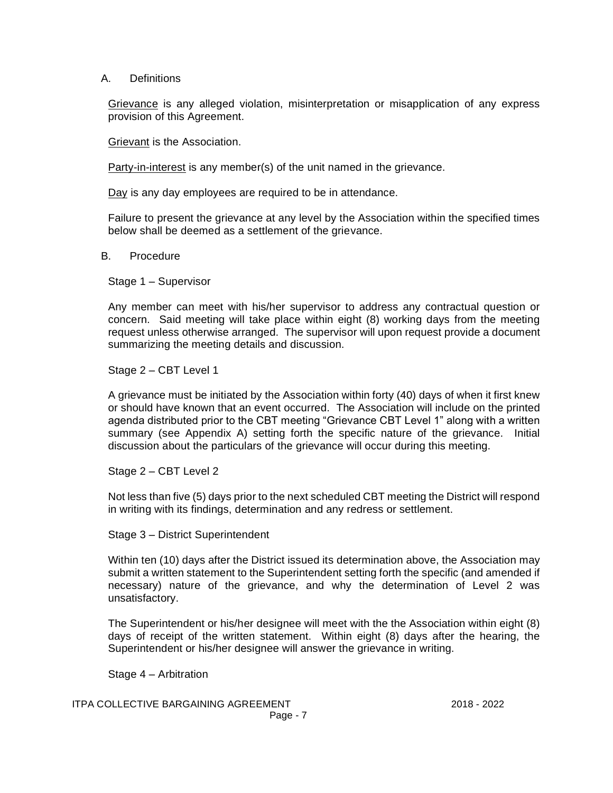#### A. Definitions

Grievance is any alleged violation, misinterpretation or misapplication of any express provision of this Agreement.

Grievant is the Association.

Party-in-interest is any member(s) of the unit named in the grievance.

Day is any day employees are required to be in attendance.

Failure to present the grievance at any level by the Association within the specified times below shall be deemed as a settlement of the grievance.

B. Procedure

Stage 1 – Supervisor

Any member can meet with his/her supervisor to address any contractual question or concern. Said meeting will take place within eight (8) working days from the meeting request unless otherwise arranged. The supervisor will upon request provide a document summarizing the meeting details and discussion.

Stage 2 – CBT Level 1

A grievance must be initiated by the Association within forty (40) days of when it first knew or should have known that an event occurred. The Association will include on the printed agenda distributed prior to the CBT meeting "Grievance CBT Level 1" along with a written summary (see Appendix A) setting forth the specific nature of the grievance. Initial discussion about the particulars of the grievance will occur during this meeting.

Stage 2 – CBT Level 2

Not less than five (5) days prior to the next scheduled CBT meeting the District will respond in writing with its findings, determination and any redress or settlement.

Stage 3 – District Superintendent

Within ten (10) days after the District issued its determination above, the Association may submit a written statement to the Superintendent setting forth the specific (and amended if necessary) nature of the grievance, and why the determination of Level 2 was unsatisfactory.

The Superintendent or his/her designee will meet with the the Association within eight (8) days of receipt of the written statement. Within eight (8) days after the hearing, the Superintendent or his/her designee will answer the grievance in writing.

Stage 4 – Arbitration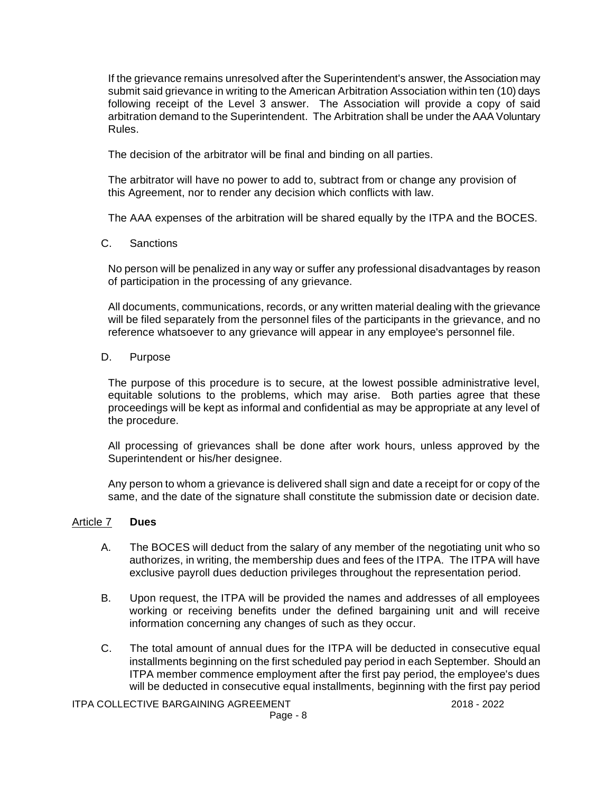If the grievance remains unresolved after the Superintendent's answer, the Association may submit said grievance in writing to the American Arbitration Association within ten (10) days following receipt of the Level 3 answer. The Association will provide a copy of said arbitration demand to the Superintendent. The Arbitration shall be under the AAA Voluntary Rules.

The decision of the arbitrator will be final and binding on all parties.

The arbitrator will have no power to add to, subtract from or change any provision of this Agreement, nor to render any decision which conflicts with law.

The AAA expenses of the arbitration will be shared equally by the ITPA and the BOCES.

#### C. Sanctions

No person will be penalized in any way or suffer any professional disadvantages by reason of participation in the processing of any grievance.

All documents, communications, records, or any written material dealing with the grievance will be filed separately from the personnel files of the participants in the grievance, and no reference whatsoever to any grievance will appear in any employee's personnel file.

### D. Purpose

The purpose of this procedure is to secure, at the lowest possible administrative level, equitable solutions to the problems, which may arise. Both parties agree that these proceedings will be kept as informal and confidential as may be appropriate at any level of the procedure.

All processing of grievances shall be done after work hours, unless approved by the Superintendent or his/her designee.

Any person to whom a grievance is delivered shall sign and date a receipt for or copy of the same, and the date of the signature shall constitute the submission date or decision date.

#### Article 7 **Dues**

- A. The BOCES will deduct from the salary of any member of the negotiating unit who so authorizes, in writing, the membership dues and fees of the ITPA. The ITPA will have exclusive payroll dues deduction privileges throughout the representation period.
- B. Upon request, the ITPA will be provided the names and addresses of all employees working or receiving benefits under the defined bargaining unit and will receive information concerning any changes of such as they occur.
- C. The total amount of annual dues for the ITPA will be deducted in consecutive equal installments beginning on the first scheduled pay period in each September. Should an ITPA member commence employment after the first pay period, the employee's dues will be deducted in consecutive equal installments, beginning with the first pay period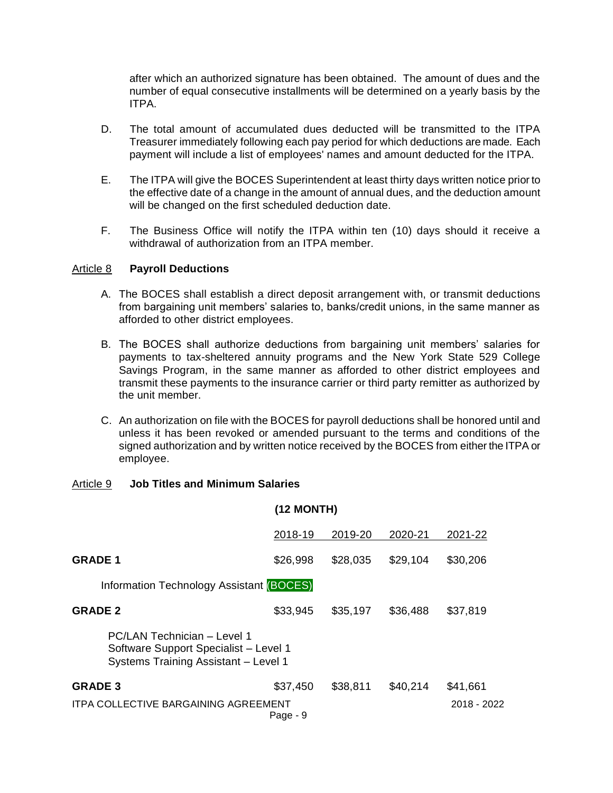after which an authorized signature has been obtained. The amount of dues and the number of equal consecutive installments will be determined on a yearly basis by the ITPA.

- D. The total amount of accumulated dues deducted will be transmitted to the ITPA Treasurer immediately following each pay period for which deductions are made. Each payment will include a list of employees' names and amount deducted for the ITPA.
- E. The ITPA will give the BOCES Superintendent at least thirty days written notice prior to the effective date of a change in the amount of annual dues, and the deduction amount will be changed on the first scheduled deduction date.
- F. The Business Office will notify the ITPA within ten (10) days should it receive a withdrawal of authorization from an ITPA member.

#### Article 8 **Payroll Deductions**

- A. The BOCES shall establish a direct deposit arrangement with, or transmit deductions from bargaining unit members' salaries to, banks/credit unions, in the same manner as afforded to other district employees.
- B. The BOCES shall authorize deductions from bargaining unit members' salaries for payments to tax-sheltered annuity programs and the New York State 529 College Savings Program, in the same manner as afforded to other district employees and transmit these payments to the insurance carrier or third party remitter as authorized by the unit member.
- C. An authorization on file with the BOCES for payroll deductions shall be honored until and unless it has been revoked or amended pursuant to the terms and conditions of the signed authorization and by written notice received by the BOCES from either the ITPA or employee.

#### Article 9 **Job Titles and Minimum Salaries**

|                                                                                                              |          | <b>(12 MONTH)</b> |          |             |
|--------------------------------------------------------------------------------------------------------------|----------|-------------------|----------|-------------|
|                                                                                                              | 2018-19  | 2019-20           | 2020-21  | 2021-22     |
| <b>GRADE 1</b>                                                                                               | \$26,998 | \$28,035          | \$29,104 | \$30,206    |
| Information Technology Assistant (BOCES)                                                                     |          |                   |          |             |
| <b>GRADE 2</b>                                                                                               | \$33,945 | \$35,197          | \$36,488 | \$37,819    |
| PC/LAN Technician - Level 1<br>Software Support Specialist - Level 1<br>Systems Training Assistant - Level 1 |          |                   |          |             |
| <b>GRADE 3</b>                                                                                               | \$37,450 | \$38,811          | \$40,214 | \$41,661    |
| <b>ITPA COLLECTIVE BARGAINING AGREEMENT</b>                                                                  | Page - 9 |                   |          | 2018 - 2022 |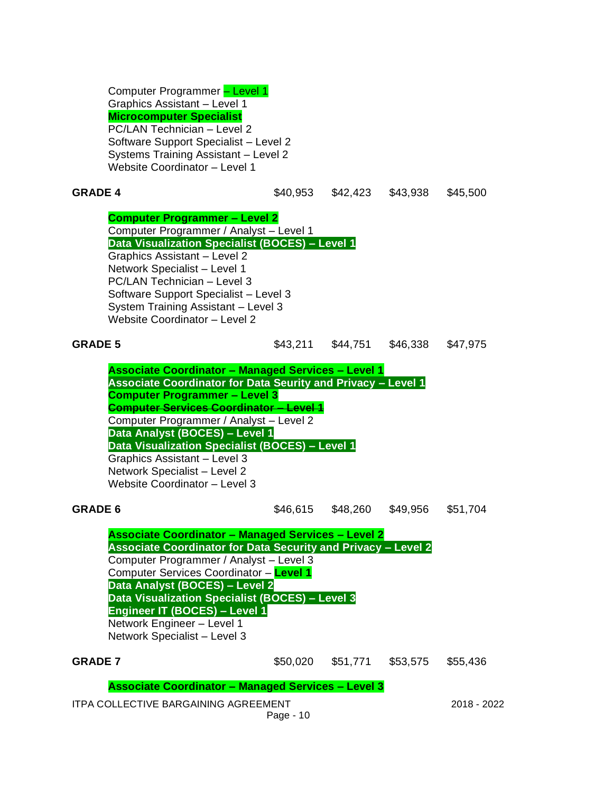Computer Programmer – Level 1 Graphics Assistant – Level 1 **Microcomputer Specialist** PC/LAN Technician – Level 2 Software Support Specialist – Level 2 Systems Training Assistant – Level 2 Website Coordinator – Level 1

| <b>GRADE 4</b>                                                                                                                                                                                                                                                                                                                                                                                                                                              |           | \$40,953 \$42,423 \$43,938 |          | \$45,500    |
|-------------------------------------------------------------------------------------------------------------------------------------------------------------------------------------------------------------------------------------------------------------------------------------------------------------------------------------------------------------------------------------------------------------------------------------------------------------|-----------|----------------------------|----------|-------------|
| <b>Computer Programmer - Level 2</b><br>Computer Programmer / Analyst - Level 1<br>Data Visualization Specialist (BOCES) - Level 1<br>Graphics Assistant - Level 2<br>Network Specialist - Level 1<br>PC/LAN Technician - Level 3<br>Software Support Specialist - Level 3<br>System Training Assistant - Level 3<br>Website Coordinator - Level 2                                                                                                          |           |                            |          |             |
| <b>GRADE 5</b>                                                                                                                                                                                                                                                                                                                                                                                                                                              |           | \$43,211 \$44,751          | \$46,338 | \$47,975    |
| <b>Associate Coordinator - Managed Services - Level 1</b><br><b>Associate Coordinator for Data Seurity and Privacy - Level 1</b><br><b>Computer Programmer - Level 3</b><br><b>Computer Services Coordinator - Level 1</b><br>Computer Programmer / Analyst - Level 2<br>Data Analyst (BOCES) - Level 1<br>Data Visualization Specialist (BOCES) - Level 1<br>Graphics Assistant - Level 3<br>Network Specialist - Level 2<br>Website Coordinator - Level 3 |           |                            |          |             |
| <b>GRADE 6</b>                                                                                                                                                                                                                                                                                                                                                                                                                                              | \$46,615  | \$48,260                   | \$49,956 | \$51,704    |
| <b>Associate Coordinator - Managed Services - Level 2</b><br><b>Associate Coordinator for Data Security and Privacy - Level 2</b><br>Computer Programmer / Analyst - Level 3<br>Computer Services Coordinator - Level 1<br>Data Analyst (BOCES) - Level 2<br>Data Visualization Specialist (BOCES) - Level 3<br>Engineer IT (BOCES) - Level 1<br>Network Engineer - Level 1<br>Network Specialist - Level 3                                                 |           |                            |          |             |
| <b>GRADE 7</b>                                                                                                                                                                                                                                                                                                                                                                                                                                              | \$50,020  | \$51,771                   | \$53,575 | \$55,436    |
| <b>Associate Coordinator - Managed Services - Level 3</b><br><b>ITPA COLLECTIVE BARGAINING AGREEMENT</b>                                                                                                                                                                                                                                                                                                                                                    | Page - 10 |                            |          | 2018 - 2022 |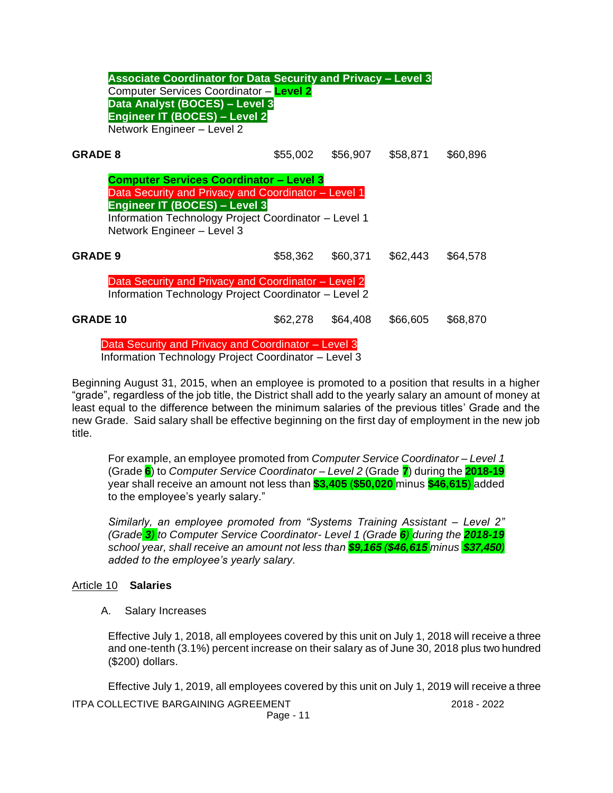| <b>Associate Coordinator for Data Security and Privacy - Level 3</b>                                        |          |          |          |          |
|-------------------------------------------------------------------------------------------------------------|----------|----------|----------|----------|
| Computer Services Coordinator - Level 2                                                                     |          |          |          |          |
| Data Analyst (BOCES) - Level 3                                                                              |          |          |          |          |
| <b>Engineer IT (BOCES) - Level 2</b>                                                                        |          |          |          |          |
| Network Engineer - Level 2                                                                                  |          |          |          |          |
| <b>GRADE 8</b>                                                                                              | \$55,002 | \$56,907 | \$58,871 | \$60,896 |
| <b>Computer Services Coordinator - Level 3</b>                                                              |          |          |          |          |
| Data Security and Privacy and Coordinator - Level 1                                                         |          |          |          |          |
| Engineer IT (BOCES) - Level 3                                                                               |          |          |          |          |
| Information Technology Project Coordinator - Level 1                                                        |          |          |          |          |
| Network Engineer - Level 3                                                                                  |          |          |          |          |
| <b>GRADE 9</b>                                                                                              | \$58,362 | \$60,371 | \$62,443 | \$64,578 |
|                                                                                                             |          |          |          |          |
| Data Security and Privacy and Coordinator - Level 2<br>Information Technology Project Coordinator - Level 2 |          |          |          |          |
| <b>GRADE 10</b>                                                                                             | \$62,278 | \$64,408 | \$66,605 | \$68,870 |
| Data Security and Privacy and Coordinator - Level 3                                                         |          |          |          |          |
| Information Toobnology Droigot Coordinator Loyal 2                                                          |          |          |          |          |

Information Technology Project Coordinator – Level 3

Beginning August 31, 2015, when an employee is promoted to a position that results in a higher "grade", regardless of the job title, the District shall add to the yearly salary an amount of money at least equal to the difference between the minimum salaries of the previous titles' Grade and the new Grade. Said salary shall be effective beginning on the first day of employment in the new job title.

For example, an employee promoted from *Computer Service Coordinator – Level 1* (Grade **6**) to *Computer Service Coordinator – Level 2* (Grade **7**) during the **2018-19** year shall receive an amount not less than **\$3,405** (**\$50,020** minus **\$46,615**) added to the employee's yearly salary."

*Similarly, an employee promoted from "Systems Training Assistant – Level 2" (Grade 3) to Computer Service Coordinator- Level 1 (Grade 6) during the 2018-19 school year, shall receive an amount not less than \$9,165 (\$46,615 minus \$37,450) added to the employee's yearly salary.*

## Article 10 **Salaries**

A. Salary Increases

Effective July 1, 2018, all employees covered by this unit on July 1, 2018 will receive a three and one-tenth (3.1%) percent increase on their salary as of June 30, 2018 plus two hundred (\$200) dollars.

Effective July 1, 2019, all employees covered by this unit on July 1, 2019 will receive a three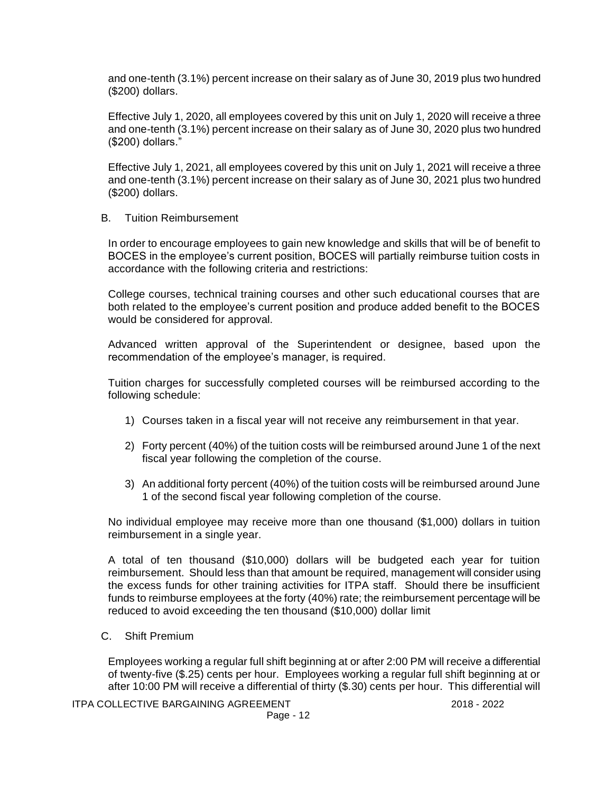and one-tenth (3.1%) percent increase on their salary as of June 30, 2019 plus two hundred (\$200) dollars.

Effective July 1, 2020, all employees covered by this unit on July 1, 2020 will receive a three and one-tenth (3.1%) percent increase on their salary as of June 30, 2020 plus two hundred (\$200) dollars."

Effective July 1, 2021, all employees covered by this unit on July 1, 2021 will receive a three and one-tenth (3.1%) percent increase on their salary as of June 30, 2021 plus two hundred (\$200) dollars.

B. Tuition Reimbursement

In order to encourage employees to gain new knowledge and skills that will be of benefit to BOCES in the employee's current position, BOCES will partially reimburse tuition costs in accordance with the following criteria and restrictions:

College courses, technical training courses and other such educational courses that are both related to the employee's current position and produce added benefit to the BOCES would be considered for approval.

Advanced written approval of the Superintendent or designee, based upon the recommendation of the employee's manager, is required.

Tuition charges for successfully completed courses will be reimbursed according to the following schedule:

- 1) Courses taken in a fiscal year will not receive any reimbursement in that year.
- 2) Forty percent (40%) of the tuition costs will be reimbursed around June 1 of the next fiscal year following the completion of the course.
- 3) An additional forty percent (40%) of the tuition costs will be reimbursed around June 1 of the second fiscal year following completion of the course.

No individual employee may receive more than one thousand (\$1,000) dollars in tuition reimbursement in a single year.

A total of ten thousand (\$10,000) dollars will be budgeted each year for tuition reimbursement. Should less than that amount be required, management will consider using the excess funds for other training activities for ITPA staff. Should there be insufficient funds to reimburse employees at the forty (40%) rate; the reimbursement percentage will be reduced to avoid exceeding the ten thousand (\$10,000) dollar limit

C. Shift Premium

Employees working a regular full shift beginning at or after 2:00 PM will receive a differential of twenty-five (\$.25) cents per hour. Employees working a regular full shift beginning at or after 10:00 PM will receive a differential of thirty (\$.30) cents per hour. This differential will

ITPA COLLECTIVE BARGAINING AGREEMENT 2018 - 2022

Page - 12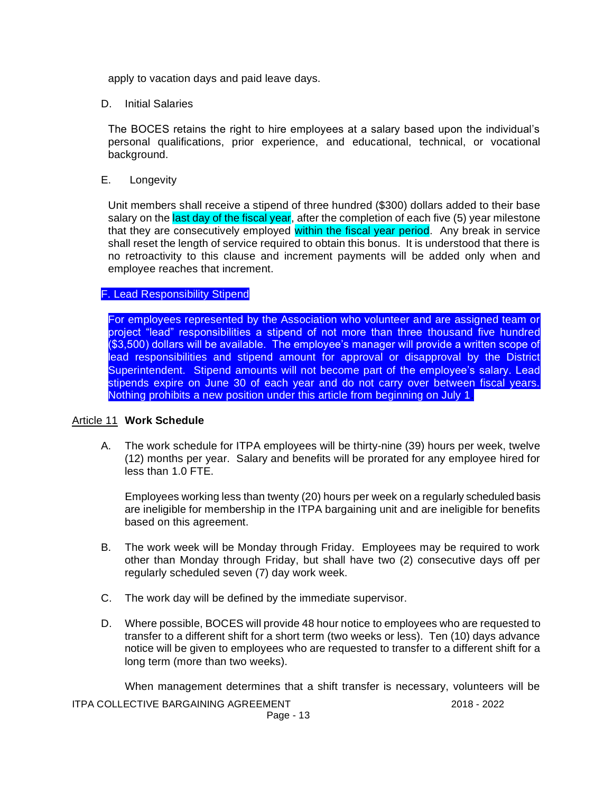apply to vacation days and paid leave days.

D. Initial Salaries

The BOCES retains the right to hire employees at a salary based upon the individual's personal qualifications, prior experience, and educational, technical, or vocational background.

E. Longevity

Unit members shall receive a stipend of three hundred (\$300) dollars added to their base salary on the last day of the fiscal year, after the completion of each five (5) year milestone that they are consecutively employed within the fiscal year period. Any break in service shall reset the length of service required to obtain this bonus. It is understood that there is no retroactivity to this clause and increment payments will be added only when and employee reaches that increment.

## F. Lead Responsibility Stipend

For employees represented by the Association who volunteer and are assigned team or project "lead" responsibilities a stipend of not more than three thousand five hundred (\$3,500) dollars will be available. The employee's manager will provide a written scope of lead responsibilities and stipend amount for approval or disapproval by the District Superintendent. Stipend amounts will not become part of the employee's salary. Lead stipends expire on June 30 of each year and do not carry over between fiscal years. Nothing prohibits a new position under this article from beginning on July 1.

#### Article 11 **Work Schedule**

A. The work schedule for ITPA employees will be thirty-nine (39) hours per week, twelve (12) months per year. Salary and benefits will be prorated for any employee hired for less than 1.0 FTE.

Employees working less than twenty (20) hours per week on a regularly scheduled basis are ineligible for membership in the ITPA bargaining unit and are ineligible for benefits based on this agreement.

- B. The work week will be Monday through Friday. Employees may be required to work other than Monday through Friday, but shall have two (2) consecutive days off per regularly scheduled seven (7) day work week.
- C. The work day will be defined by the immediate supervisor.
- D. Where possible, BOCES will provide 48 hour notice to employees who are requested to transfer to a different shift for a short term (two weeks or less). Ten (10) days advance notice will be given to employees who are requested to transfer to a different shift for a long term (more than two weeks).

When management determines that a shift transfer is necessary, volunteers will be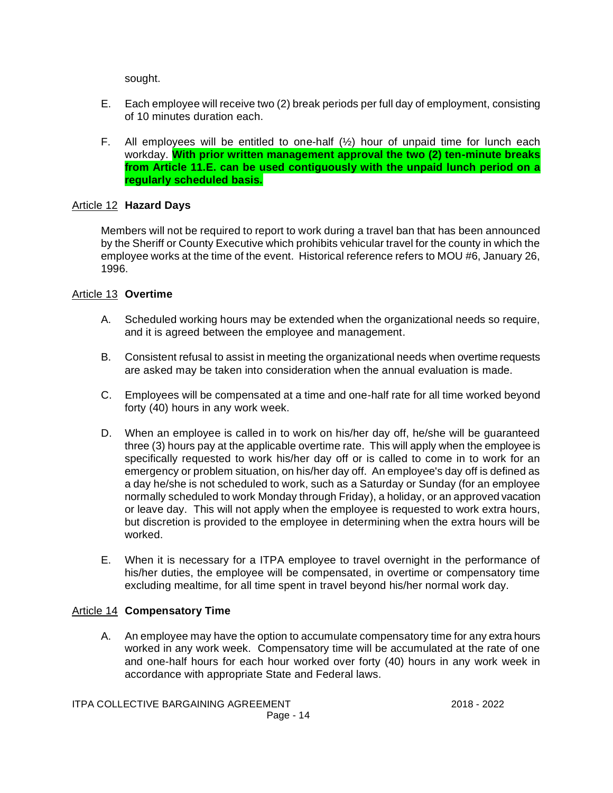sought.

- E. Each employee will receive two (2) break periods per full day of employment, consisting of 10 minutes duration each.
- F. All employees will be entitled to one-half  $(\frac{1}{2})$  hour of unpaid time for lunch each workday. **With prior written management approval the two (2) ten-minute breaks from Article 11.E. can be used contiguously with the unpaid lunch period on a regularly scheduled basis.**

## Article 12 **Hazard Days**

Members will not be required to report to work during a travel ban that has been announced by the Sheriff or County Executive which prohibits vehicular travel for the county in which the employee works at the time of the event. Historical reference refers to MOU #6, January 26, 1996.

## Article 13 **Overtime**

- A. Scheduled working hours may be extended when the organizational needs so require, and it is agreed between the employee and management.
- B. Consistent refusal to assist in meeting the organizational needs when overtime requests are asked may be taken into consideration when the annual evaluation is made.
- C. Employees will be compensated at a time and one-half rate for all time worked beyond forty (40) hours in any work week.
- D. When an employee is called in to work on his/her day off, he/she will be guaranteed three (3) hours pay at the applicable overtime rate. This will apply when the employee is specifically requested to work his/her day off or is called to come in to work for an emergency or problem situation, on his/her day off. An employee's day off is defined as a day he/she is not scheduled to work, such as a Saturday or Sunday (for an employee normally scheduled to work Monday through Friday), a holiday, or an approved vacation or leave day. This will not apply when the employee is requested to work extra hours, but discretion is provided to the employee in determining when the extra hours will be worked.
- E. When it is necessary for a ITPA employee to travel overnight in the performance of his/her duties, the employee will be compensated, in overtime or compensatory time excluding mealtime, for all time spent in travel beyond his/her normal work day.

## Article 14 **Compensatory Time**

A. An employee may have the option to accumulate compensatory time for any extra hours worked in any work week. Compensatory time will be accumulated at the rate of one and one-half hours for each hour worked over forty (40) hours in any work week in accordance with appropriate State and Federal laws.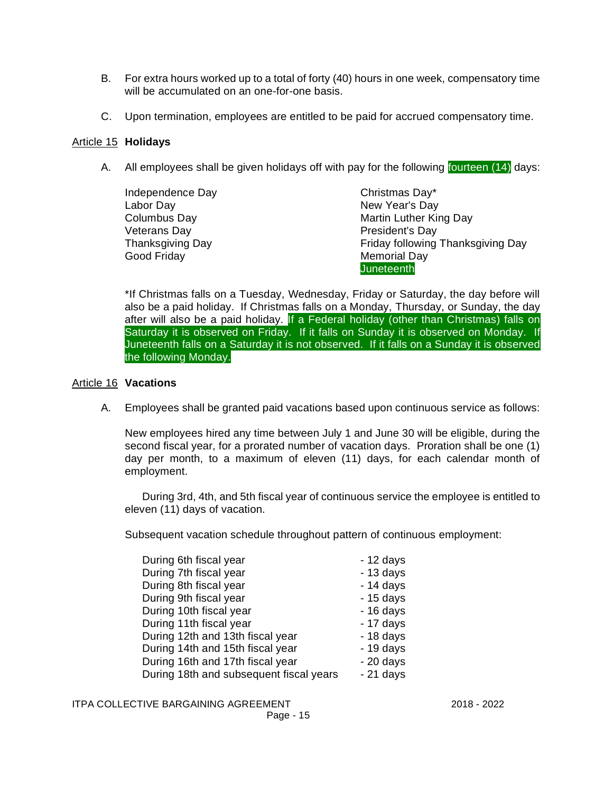- B. For extra hours worked up to a total of forty (40) hours in one week, compensatory time will be accumulated on an one-for-one basis.
- C. Upon termination, employees are entitled to be paid for accrued compensatory time.

#### Article 15 **Holidays**

A. All employees shall be given holidays off with pay for the following fourteen (14) days:

| Independence Day | Christmas Day*                    |
|------------------|-----------------------------------|
| Labor Day        | New Year's Day                    |
| Columbus Day     | Martin Luther King Day            |
| Veterans Day     | President's Day                   |
| Thanksgiving Day | Friday following Thanksgiving Day |
| Good Friday      | <b>Memorial Day</b>               |
|                  | <b>Juneteenth</b>                 |

\*If Christmas falls on a Tuesday, Wednesday, Friday or Saturday, the day before will also be a paid holiday. If Christmas falls on a Monday, Thursday, or Sunday, the day after will also be a paid holiday. If a Federal holiday (other than Christmas) falls on Saturday it is observed on Friday. If it falls on Sunday it is observed on Monday. If Juneteenth falls on a Saturday it is not observed. If it falls on a Sunday it is observed the following Monday.

#### Article 16 **Vacations**

A. Employees shall be granted paid vacations based upon continuous service as follows:

New employees hired any time between July 1 and June 30 will be eligible, during the second fiscal year, for a prorated number of vacation days. Proration shall be one (1) day per month, to a maximum of eleven (11) days, for each calendar month of employment.

During 3rd, 4th, and 5th fiscal year of continuous service the employee is entitled to eleven (11) days of vacation.

Subsequent vacation schedule throughout pattern of continuous employment:

| During 6th fiscal year                  | $-12$ days |
|-----------------------------------------|------------|
| During 7th fiscal year                  | $-13$ days |
| During 8th fiscal year                  | $-14$ days |
| During 9th fiscal year                  | $-15$ days |
| During 10th fiscal year                 | $-16$ days |
| During 11th fiscal year                 | $-17$ days |
| During 12th and 13th fiscal year        | $-18$ days |
| During 14th and 15th fiscal year        | $-19$ days |
| During 16th and 17th fiscal year        | $-20$ days |
| During 18th and subsequent fiscal years | $-21$ days |
|                                         |            |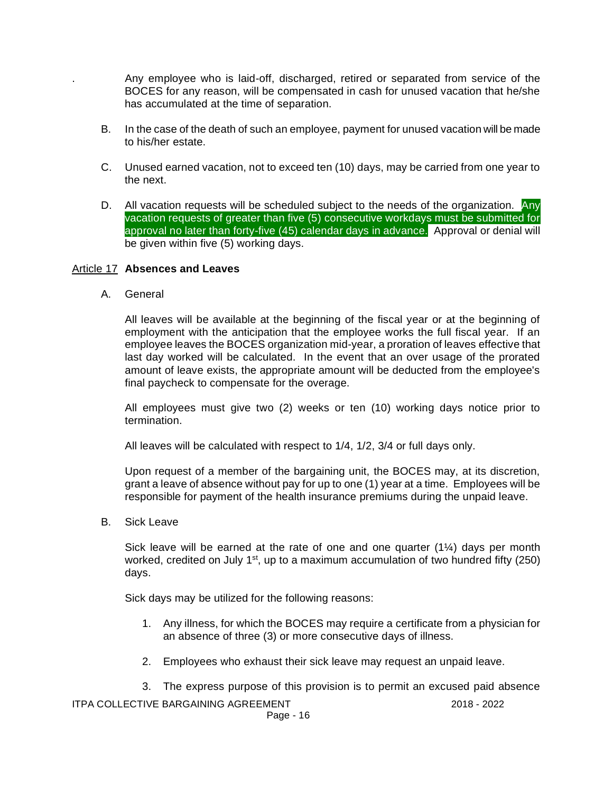. Any employee who is laid-off, discharged, retired or separated from service of the BOCES for any reason, will be compensated in cash for unused vacation that he/she has accumulated at the time of separation.

- B. In the case of the death of such an employee, payment for unused vacation will be made to his/her estate.
- C. Unused earned vacation, not to exceed ten (10) days, may be carried from one year to the next.
- D. All vacation requests will be scheduled subject to the needs of the organization. Any vacation requests of greater than five (5) consecutive workdays must be submitted for approval no later than forty-five (45) calendar days in advance. Approval or denial will be given within five (5) working days.

#### Article 17 **Absences and Leaves**

A. General

All leaves will be available at the beginning of the fiscal year or at the beginning of employment with the anticipation that the employee works the full fiscal year. If an employee leaves the BOCES organization mid-year, a proration of leaves effective that last day worked will be calculated. In the event that an over usage of the prorated amount of leave exists, the appropriate amount will be deducted from the employee's final paycheck to compensate for the overage.

All employees must give two (2) weeks or ten (10) working days notice prior to termination.

All leaves will be calculated with respect to 1/4, 1/2, 3/4 or full days only.

Upon request of a member of the bargaining unit, the BOCES may, at its discretion, grant a leave of absence without pay for up to one (1) year at a time. Employees will be responsible for payment of the health insurance premiums during the unpaid leave.

B. Sick Leave

Sick leave will be earned at the rate of one and one quarter  $(1/4)$  days per month worked, credited on July 1<sup>st</sup>, up to a maximum accumulation of two hundred fifty (250) days.

Sick days may be utilized for the following reasons:

- 1. Any illness, for which the BOCES may require a certificate from a physician for an absence of three (3) or more consecutive days of illness.
- 2. Employees who exhaust their sick leave may request an unpaid leave.
- 3. The express purpose of this provision is to permit an excused paid absence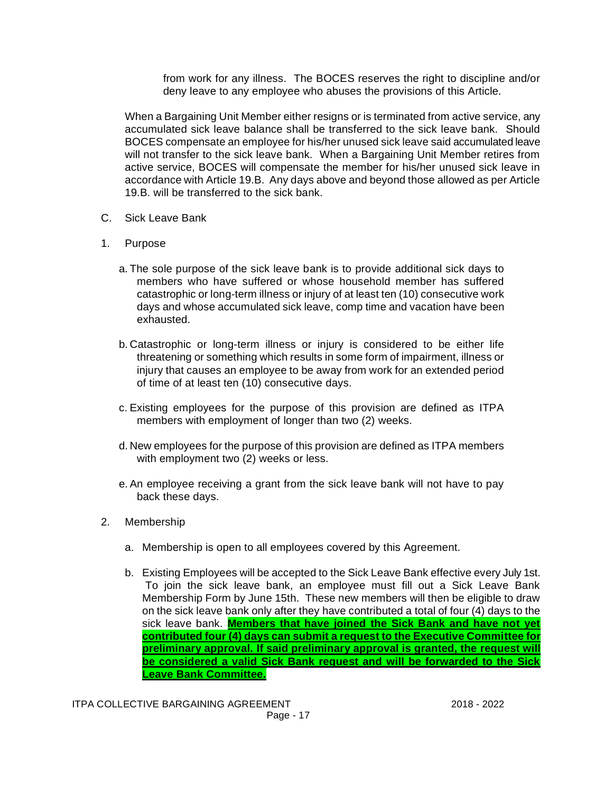from work for any illness. The BOCES reserves the right to discipline and/or deny leave to any employee who abuses the provisions of this Article.

When a Bargaining Unit Member either resigns or is terminated from active service, any accumulated sick leave balance shall be transferred to the sick leave bank. Should BOCES compensate an employee for his/her unused sick leave said accumulated leave will not transfer to the sick leave bank. When a Bargaining Unit Member retires from active service, BOCES will compensate the member for his/her unused sick leave in accordance with Article 19.B. Any days above and beyond those allowed as per Article 19.B. will be transferred to the sick bank.

- C. Sick Leave Bank
- 1. Purpose
	- a. The sole purpose of the sick leave bank is to provide additional sick days to members who have suffered or whose household member has suffered catastrophic or long-term illness or injury of at least ten (10) consecutive work days and whose accumulated sick leave, comp time and vacation have been exhausted.
	- b. Catastrophic or long-term illness or injury is considered to be either life threatening or something which results in some form of impairment, illness or injury that causes an employee to be away from work for an extended period of time of at least ten (10) consecutive days.
	- c. Existing employees for the purpose of this provision are defined as ITPA members with employment of longer than two (2) weeks.
	- d. New employees for the purpose of this provision are defined as ITPA members with employment two (2) weeks or less.
	- e.An employee receiving a grant from the sick leave bank will not have to pay back these days.
- 2. Membership
	- a. Membership is open to all employees covered by this Agreement.
	- b. Existing Employees will be accepted to the Sick Leave Bank effective every July 1st. To join the sick leave bank, an employee must fill out a Sick Leave Bank Membership Form by June 15th. These new members will then be eligible to draw on the sick leave bank only after they have contributed a total of four (4) days to the sick leave bank. **Members that have joined the Sick Bank and have not yet contributed four (4) days can submit a request to the Executive Committee for preliminary approval. If said preliminary approval is granted, the request will be considered a valid Sick Bank request and will be forwarded to the Sick Leave Bank Committee.**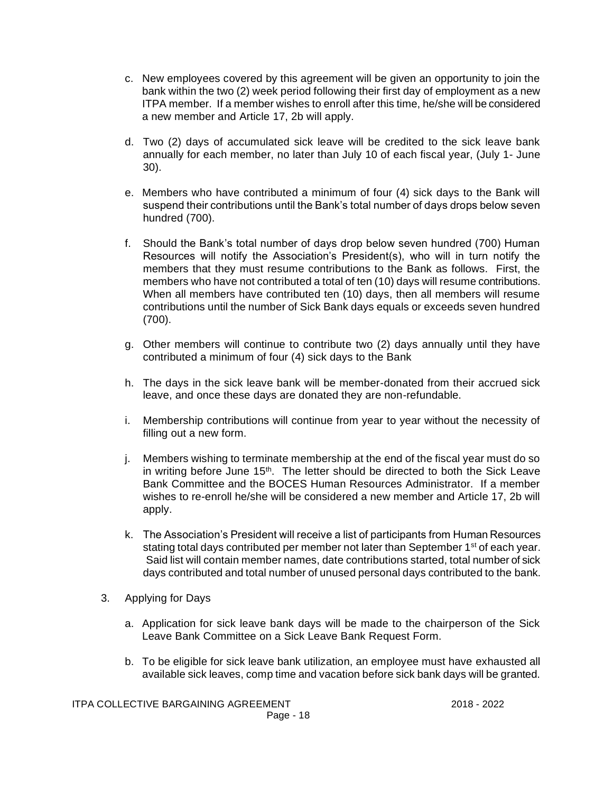- c. New employees covered by this agreement will be given an opportunity to join the bank within the two (2) week period following their first day of employment as a new ITPA member. If a member wishes to enroll after this time, he/she will be considered a new member and Article 17, 2b will apply.
- d. Two (2) days of accumulated sick leave will be credited to the sick leave bank annually for each member, no later than July 10 of each fiscal year, (July 1- June 30).
- e. Members who have contributed a minimum of four (4) sick days to the Bank will suspend their contributions until the Bank's total number of days drops below seven hundred (700).
- f. Should the Bank's total number of days drop below seven hundred (700) Human Resources will notify the Association's President(s), who will in turn notify the members that they must resume contributions to the Bank as follows. First, the members who have not contributed a total of ten (10) days will resume contributions. When all members have contributed ten (10) days, then all members will resume contributions until the number of Sick Bank days equals or exceeds seven hundred (700).
- g. Other members will continue to contribute two (2) days annually until they have contributed a minimum of four (4) sick days to the Bank
- h. The days in the sick leave bank will be member-donated from their accrued sick leave, and once these days are donated they are non-refundable.
- i. Membership contributions will continue from year to year without the necessity of filling out a new form.
- j. Members wishing to terminate membership at the end of the fiscal year must do so in writing before June  $15<sup>th</sup>$ . The letter should be directed to both the Sick Leave Bank Committee and the BOCES Human Resources Administrator. If a member wishes to re-enroll he/she will be considered a new member and Article 17, 2b will apply.
- k. The Association's President will receive a list of participants from Human Resources stating total days contributed per member not later than September 1<sup>st</sup> of each year. Said list will contain member names, date contributions started, total number of sick days contributed and total number of unused personal days contributed to the bank.
- 3. Applying for Days
	- a. Application for sick leave bank days will be made to the chairperson of the Sick Leave Bank Committee on a Sick Leave Bank Request Form.
	- b. To be eligible for sick leave bank utilization, an employee must have exhausted all available sick leaves, comp time and vacation before sick bank days will be granted.

ITPA COLLECTIVE BARGAINING AGREEMENT 2018 - 2022

Page - 18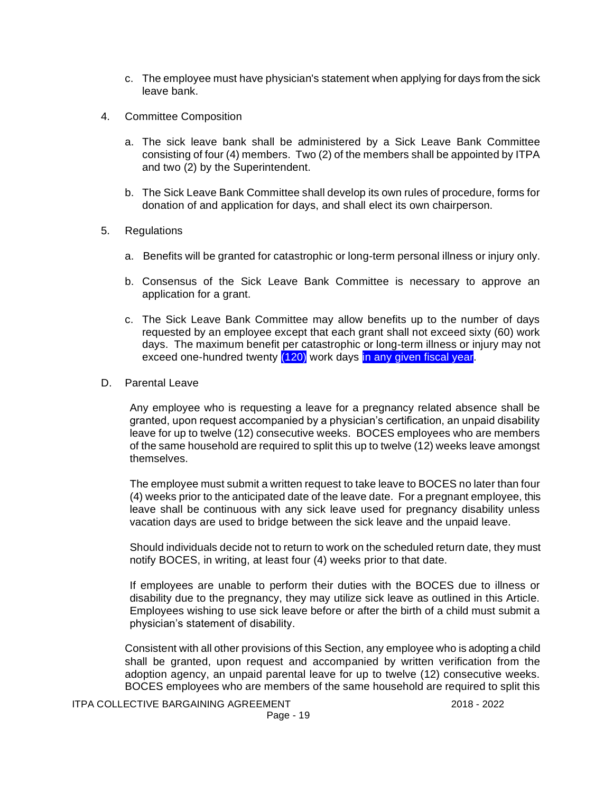- c. The employee must have physician's statement when applying for days from the sick leave bank.
- 4. Committee Composition
	- a. The sick leave bank shall be administered by a Sick Leave Bank Committee consisting of four (4) members. Two (2) of the members shall be appointed by ITPA and two (2) by the Superintendent.
	- b. The Sick Leave Bank Committee shall develop its own rules of procedure, forms for donation of and application for days, and shall elect its own chairperson.
- 5. Regulations
	- a. Benefits will be granted for catastrophic or long-term personal illness or injury only.
	- b. Consensus of the Sick Leave Bank Committee is necessary to approve an application for a grant.
	- c. The Sick Leave Bank Committee may allow benefits up to the number of days requested by an employee except that each grant shall not exceed sixty (60) work days. The maximum benefit per catastrophic or long-term illness or injury may not exceed one-hundred twenty (120) work days in any given fiscal year.
- D. Parental Leave

Any employee who is requesting a leave for a pregnancy related absence shall be granted, upon request accompanied by a physician's certification, an unpaid disability leave for up to twelve (12) consecutive weeks. BOCES employees who are members of the same household are required to split this up to twelve (12) weeks leave amongst themselves.

The employee must submit a written request to take leave to BOCES no later than four (4) weeks prior to the anticipated date of the leave date. For a pregnant employee, this leave shall be continuous with any sick leave used for pregnancy disability unless vacation days are used to bridge between the sick leave and the unpaid leave.

Should individuals decide not to return to work on the scheduled return date, they must notify BOCES, in writing, at least four (4) weeks prior to that date.

If employees are unable to perform their duties with the BOCES due to illness or disability due to the pregnancy, they may utilize sick leave as outlined in this Article. Employees wishing to use sick leave before or after the birth of a child must submit a physician's statement of disability.

Consistent with all other provisions of this Section, any employee who is adopting a child shall be granted, upon request and accompanied by written verification from the adoption agency, an unpaid parental leave for up to twelve (12) consecutive weeks. BOCES employees who are members of the same household are required to split this

ITPA COLLECTIVE BARGAINING AGREEMENT 2018 - 2022 Page - 19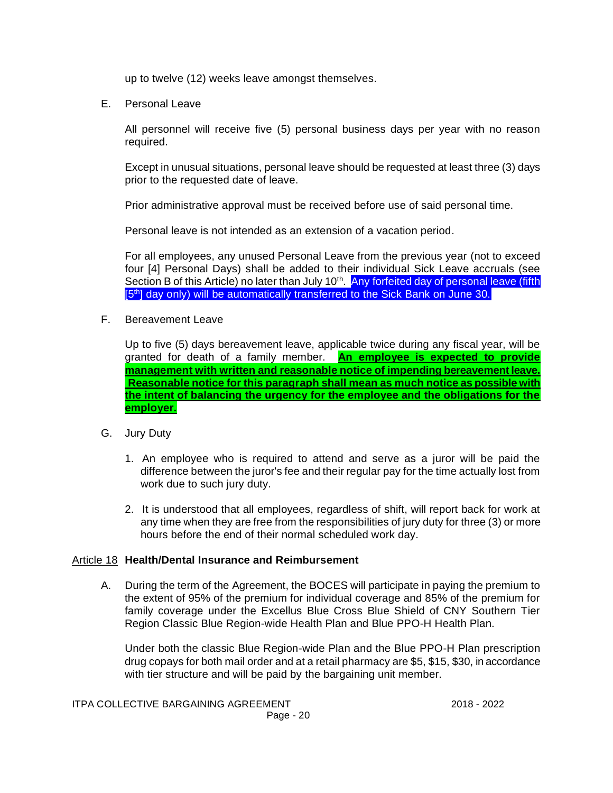up to twelve (12) weeks leave amongst themselves.

E. Personal Leave

All personnel will receive five (5) personal business days per year with no reason required.

Except in unusual situations, personal leave should be requested at least three (3) days prior to the requested date of leave.

Prior administrative approval must be received before use of said personal time.

Personal leave is not intended as an extension of a vacation period.

For all employees, any unused Personal Leave from the previous year (not to exceed four [4] Personal Days) shall be added to their individual Sick Leave accruals (see Section B of this Article) no later than July 10<sup>th</sup>. Any forfeited day of personal leave (fifth [5<sup>th</sup>] day only) will be automatically transferred to the Sick Bank on June 30.

F. Bereavement Leave

Up to five (5) days bereavement leave, applicable twice during any fiscal year, will be granted for death of a family member. **An employee is expected to provide management with written and reasonable notice of impending bereavement leave. Reasonable notice for this paragraph shall mean as much notice as possible with the intent of balancing the urgency for the employee and the obligations for the employer.**

## G. Jury Duty

- 1. An employee who is required to attend and serve as a juror will be paid the difference between the juror's fee and their regular pay for the time actually lost from work due to such jury duty.
- 2. It is understood that all employees, regardless of shift, will report back for work at any time when they are free from the responsibilities of jury duty for three (3) or more hours before the end of their normal scheduled work day.

#### Article 18 **Health/Dental Insurance and Reimbursement**

A. During the term of the Agreement, the BOCES will participate in paying the premium to the extent of 95% of the premium for individual coverage and 85% of the premium for family coverage under the Excellus Blue Cross Blue Shield of CNY Southern Tier Region Classic Blue Region-wide Health Plan and Blue PPO-H Health Plan.

Under both the classic Blue Region-wide Plan and the Blue PPO-H Plan prescription drug copays for both mail order and at a retail pharmacy are \$5, \$15, \$30, in accordance with tier structure and will be paid by the bargaining unit member.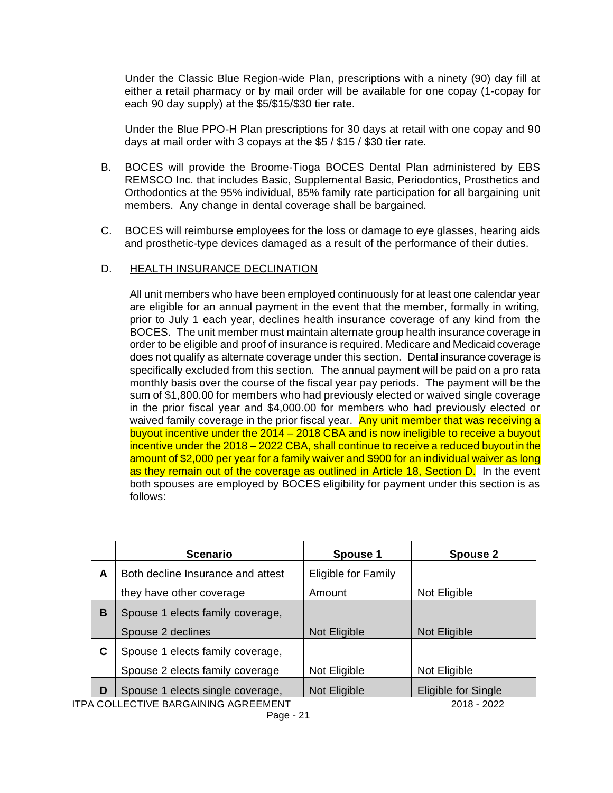Under the Classic Blue Region-wide Plan, prescriptions with a ninety (90) day fill at either a retail pharmacy or by mail order will be available for one copay (1-copay for each 90 day supply) at the \$5/\$15/\$30 tier rate.

Under the Blue PPO-H Plan prescriptions for 30 days at retail with one copay and 90 days at mail order with 3 copays at the \$5 / \$15 / \$30 tier rate.

- B. BOCES will provide the Broome-Tioga BOCES Dental Plan administered by EBS REMSCO Inc. that includes Basic, Supplemental Basic, Periodontics, Prosthetics and Orthodontics at the 95% individual, 85% family rate participation for all bargaining unit members. Any change in dental coverage shall be bargained.
- C. BOCES will reimburse employees for the loss or damage to eye glasses, hearing aids and prosthetic-type devices damaged as a result of the performance of their duties.

## D. HEALTH INSURANCE DECLINATION

All unit members who have been employed continuously for at least one calendar year are eligible for an annual payment in the event that the member, formally in writing, prior to July 1 each year, declines health insurance coverage of any kind from the BOCES. The unit member must maintain alternate group health insurance coverage in order to be eligible and proof of insurance is required. Medicare and Medicaid coverage does not qualify as alternate coverage under this section. Dental insurance coverage is specifically excluded from this section. The annual payment will be paid on a pro rata monthly basis over the course of the fiscal year pay periods. The payment will be the sum of \$1,800.00 for members who had previously elected or waived single coverage in the prior fiscal year and \$4,000.00 for members who had previously elected or waived family coverage in the prior fiscal year. Any unit member that was receiving a buyout incentive under the 2014 – 2018 CBA and is now ineligible to receive a buyout incentive under the 2018 – 2022 CBA, shall continue to receive a reduced buyout in the amount of \$2,000 per year for a family waiver and \$900 for an individual waiver as long as they remain out of the coverage as outlined in Article 18, Section D. In the event both spouses are employed by BOCES eligibility for payment under this section is as follows:

| <b>Scenario</b>                   | Spouse 1                                                                                                                                                                                                                                                                                                                                                                                                               | <b>Spouse 2</b>     |
|-----------------------------------|------------------------------------------------------------------------------------------------------------------------------------------------------------------------------------------------------------------------------------------------------------------------------------------------------------------------------------------------------------------------------------------------------------------------|---------------------|
| Both decline Insurance and attest | Eligible for Family                                                                                                                                                                                                                                                                                                                                                                                                    |                     |
| they have other coverage          | Amount                                                                                                                                                                                                                                                                                                                                                                                                                 | Not Eligible        |
| Spouse 1 elects family coverage,  |                                                                                                                                                                                                                                                                                                                                                                                                                        |                     |
| Spouse 2 declines                 | Not Eligible                                                                                                                                                                                                                                                                                                                                                                                                           | Not Eligible        |
| Spouse 1 elects family coverage,  |                                                                                                                                                                                                                                                                                                                                                                                                                        |                     |
| Spouse 2 elects family coverage   | Not Eligible                                                                                                                                                                                                                                                                                                                                                                                                           | Not Eligible        |
| Spouse 1 elects single coverage,  | Not Eligible                                                                                                                                                                                                                                                                                                                                                                                                           | Eligible for Single |
|                                   | $\lambda$ $\alpha$ , $\lambda$ , $\alpha$ , $\alpha$ , $\alpha$ , $\alpha$ , $\alpha$ , $\alpha$ , $\alpha$ , $\alpha$ , $\alpha$ , $\alpha$ , $\alpha$ , $\alpha$ , $\alpha$ , $\alpha$ , $\alpha$ , $\alpha$ , $\alpha$ , $\alpha$ , $\alpha$ , $\alpha$ , $\alpha$ , $\alpha$ , $\alpha$ , $\alpha$ , $\alpha$ , $\alpha$ , $\alpha$ , $\alpha$ , $\alpha$ , $\alpha$ , $\alpha$ , $\alpha$ , $\alpha$ , $\alpha$ , |                     |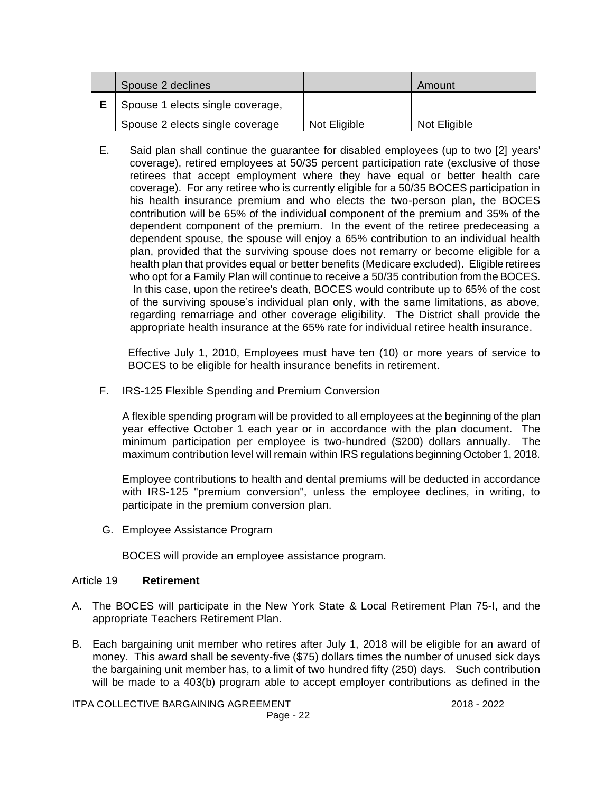| Spouse 2 declines                |              | Amount       |
|----------------------------------|--------------|--------------|
| Spouse 1 elects single coverage, |              |              |
| Spouse 2 elects single coverage  | Not Eligible | Not Eligible |

E. Said plan shall continue the guarantee for disabled employees (up to two [2] years' coverage), retired employees at 50/35 percent participation rate (exclusive of those retirees that accept employment where they have equal or better health care coverage). For any retiree who is currently eligible for a 50/35 BOCES participation in his health insurance premium and who elects the two-person plan, the BOCES contribution will be 65% of the individual component of the premium and 35% of the dependent component of the premium. In the event of the retiree predeceasing a dependent spouse, the spouse will enjoy a 65% contribution to an individual health plan, provided that the surviving spouse does not remarry or become eligible for a health plan that provides equal or better benefits (Medicare excluded). Eligible retirees who opt for a Family Plan will continue to receive a 50/35 contribution from the BOCES. In this case, upon the retiree's death, BOCES would contribute up to 65% of the cost of the surviving spouse's individual plan only, with the same limitations, as above, regarding remarriage and other coverage eligibility. The District shall provide the appropriate health insurance at the 65% rate for individual retiree health insurance.

Effective July 1, 2010, Employees must have ten (10) or more years of service to BOCES to be eligible for health insurance benefits in retirement.

F. IRS-125 Flexible Spending and Premium Conversion

A flexible spending program will be provided to all employees at the beginning of the plan year effective October 1 each year or in accordance with the plan document. The minimum participation per employee is two-hundred (\$200) dollars annually. The maximum contribution level will remain within IRS regulations beginning October 1, 2018.

Employee contributions to health and dental premiums will be deducted in accordance with IRS-125 "premium conversion", unless the employee declines, in writing, to participate in the premium conversion plan.

G. Employee Assistance Program

BOCES will provide an employee assistance program.

#### Article 19 **Retirement**

- A. The BOCES will participate in the New York State & Local Retirement Plan 75-I, and the appropriate Teachers Retirement Plan.
- B. Each bargaining unit member who retires after July 1, 2018 will be eligible for an award of money. This award shall be seventy-five (\$75) dollars times the number of unused sick days the bargaining unit member has, to a limit of two hundred fifty (250) days. Such contribution will be made to a 403(b) program able to accept employer contributions as defined in the

ITPA COLLECTIVE BARGAINING AGREEMENT 2018 - 2022 Page - 22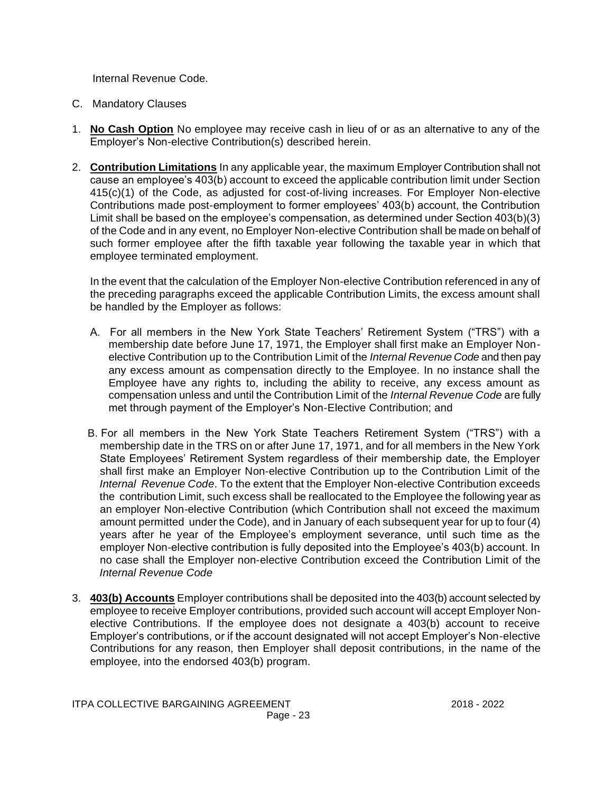Internal Revenue Code.

- C. Mandatory Clauses
- 1. **No Cash Option** No employee may receive cash in lieu of or as an alternative to any of the Employer's Non-elective Contribution(s) described herein.
- 2. **Contribution Limitations** In any applicable year, the maximum Employer Contribution shall not cause an employee's 403(b) account to exceed the applicable contribution limit under Section 415(c)(1) of the Code, as adjusted for cost-of-living increases. For Employer Non-elective Contributions made post-employment to former employees' 403(b) account, the Contribution Limit shall be based on the employee's compensation, as determined under Section 403(b)(3) of the Code and in any event, no Employer Non-elective Contribution shall be made on behalf of such former employee after the fifth taxable year following the taxable year in which that employee terminated employment.

In the event that the calculation of the Employer Non-elective Contribution referenced in any of the preceding paragraphs exceed the applicable Contribution Limits, the excess amount shall be handled by the Employer as follows:

- A. For all members in the New York State Teachers' Retirement System ("TRS") with a membership date before June 17, 1971, the Employer shall first make an Employer Non elective Contribution up to the Contribution Limit of the *Internal Revenue Code* and then pay any excess amount as compensation directly to the Employee. In no instance shall the Employee have any rights to, including the ability to receive, any excess amount as compensation unless and until the Contribution Limit of the *Internal Revenue Code* are fully met through payment of the Employer's Non-Elective Contribution; and
- B. For all members in the New York State Teachers Retirement System ("TRS") with a membership date in the TRS on or after June 17, 1971, and for all members in the New York State Employees' Retirement System regardless of their membership date, the Employer shall first make an Employer Non-elective Contribution up to the Contribution Limit of the *Internal Revenue Code*. To the extent that the Employer Non-elective Contribution exceeds the contribution Limit, such excess shall be reallocated to the Employee the following year as an employer Non-elective Contribution (which Contribution shall not exceed the maximum amount permitted under the Code), and in January of each subsequent year for up to four (4) years after he year of the Employee's employment severance, until such time as the employer Non-elective contribution is fully deposited into the Employee's 403(b) account. In no case shall the Employer non-elective Contribution exceed the Contribution Limit of the *Internal Revenue Code*
- 3. **403(b) Accounts** Employer contributions shall be deposited into the 403(b) account selected by employee to receive Employer contributions, provided such account will accept Employer Nonelective Contributions. If the employee does not designate a 403(b) account to receive Employer's contributions, or if the account designated will not accept Employer's Non-elective Contributions for any reason, then Employer shall deposit contributions, in the name of the employee, into the endorsed 403(b) program.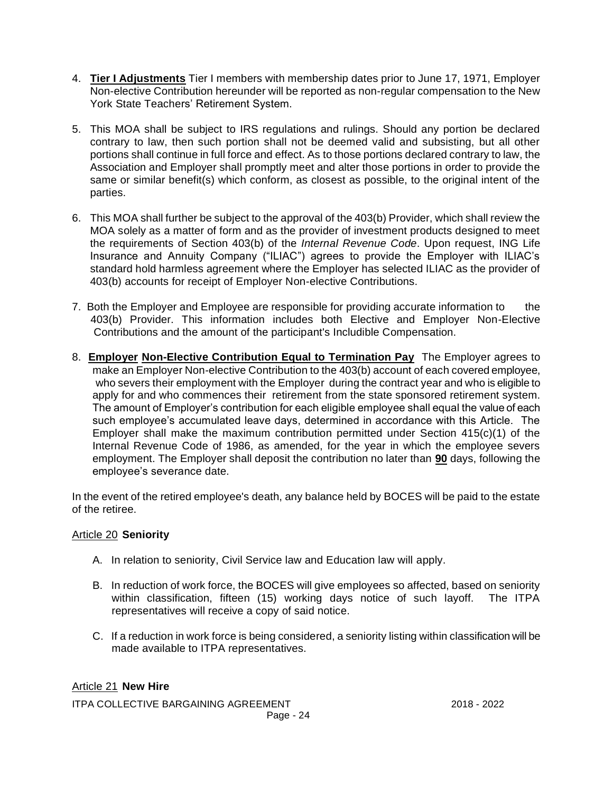- 4. **Tier I Adjustments** Tier I members with membership dates prior to June 17, 1971, Employer Non-elective Contribution hereunder will be reported as non-regular compensation to the New York State Teachers' Retirement System.
- 5. This MOA shall be subject to IRS regulations and rulings. Should any portion be declared contrary to law, then such portion shall not be deemed valid and subsisting, but all other portions shall continue in full force and effect. As to those portions declared contrary to law, the Association and Employer shall promptly meet and alter those portions in order to provide the same or similar benefit(s) which conform, as closest as possible, to the original intent of the parties.
- 6. This MOA shall further be subject to the approval of the 403(b) Provider, which shall review the MOA solely as a matter of form and as the provider of investment products designed to meet the requirements of Section 403(b) of the *Internal Revenue Code*. Upon request, ING Life Insurance and Annuity Company ("ILIAC") agrees to provide the Employer with ILIAC's standard hold harmless agreement where the Employer has selected ILIAC as the provider of 403(b) accounts for receipt of Employer Non-elective Contributions.
- 7. Both the Employer and Employee are responsible for providing accurate information to the 403(b) Provider. This information includes both Elective and Employer Non-Elective Contributions and the amount of the participant's Includible Compensation.
- 8. **Employer Non-Elective Contribution Equal to Termination Pay** The Employer agrees to make an Employer Non-elective Contribution to the 403(b) account of each covered employee, who severs their employment with the Employer during the contract year and who is eligible to apply for and who commences their retirement from the state sponsored retirement system. The amount of Employer's contribution for each eligible employee shall equal the value of each such employee's accumulated leave days, determined in accordance with this Article. The Employer shall make the maximum contribution permitted under Section 415(c)(1) of the Internal Revenue Code of 1986, as amended, for the year in which the employee severs employment. The Employer shall deposit the contribution no later than **90** days, following the employee's severance date.

In the event of the retired employee's death, any balance held by BOCES will be paid to the estate of the retiree.

## Article 20 **Seniority**

- A. In relation to seniority, Civil Service law and Education law will apply.
- B. In reduction of work force, the BOCES will give employees so affected, based on seniority within classification, fifteen (15) working days notice of such layoff. The ITPA representatives will receive a copy of said notice.
- C. If a reduction in work force is being considered, a seniority listing within classification will be made available to ITPA representatives.

ITPA COLLECTIVE BARGAINING AGREEMENT 2018 - 2022 Page - 24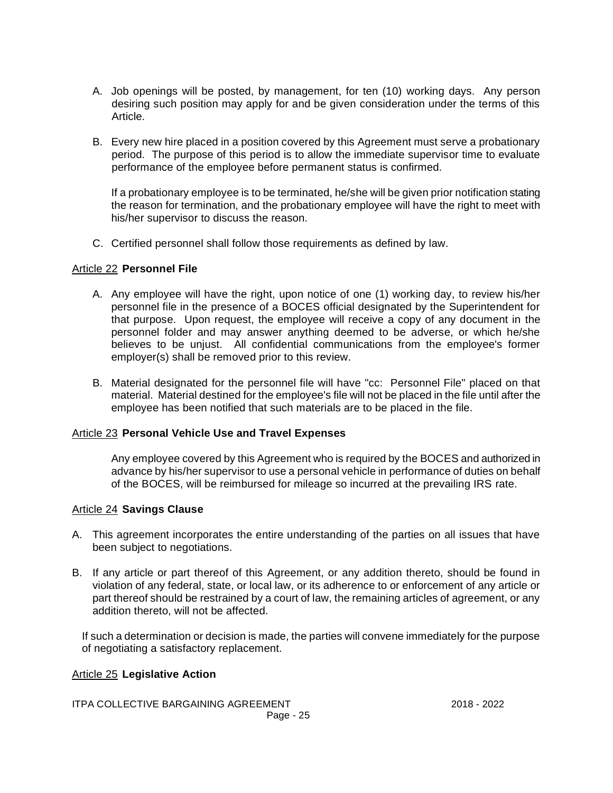- A. Job openings will be posted, by management, for ten (10) working days. Any person desiring such position may apply for and be given consideration under the terms of this Article.
- B. Every new hire placed in a position covered by this Agreement must serve a probationary period. The purpose of this period is to allow the immediate supervisor time to evaluate performance of the employee before permanent status is confirmed.

If a probationary employee is to be terminated, he/she will be given prior notification stating the reason for termination, and the probationary employee will have the right to meet with his/her supervisor to discuss the reason.

C. Certified personnel shall follow those requirements as defined by law.

### Article 22 **Personnel File**

- A. Any employee will have the right, upon notice of one (1) working day, to review his/her personnel file in the presence of a BOCES official designated by the Superintendent for that purpose. Upon request, the employee will receive a copy of any document in the personnel folder and may answer anything deemed to be adverse, or which he/she believes to be unjust. All confidential communications from the employee's former employer(s) shall be removed prior to this review.
- B. Material designated for the personnel file will have "cc: Personnel File" placed on that material. Material destined for the employee's file will not be placed in the file until after the employee has been notified that such materials are to be placed in the file.

## Article 23 **Personal Vehicle Use and Travel Expenses**

Any employee covered by this Agreement who is required by the BOCES and authorized in advance by his/her supervisor to use a personal vehicle in performance of duties on behalf of the BOCES, will be reimbursed for mileage so incurred at the prevailing IRS rate.

#### Article 24 **Savings Clause**

- A. This agreement incorporates the entire understanding of the parties on all issues that have been subject to negotiations.
- B. If any article or part thereof of this Agreement, or any addition thereto, should be found in violation of any federal, state, or local law, or its adherence to or enforcement of any article or part thereof should be restrained by a court of law, the remaining articles of agreement, or any addition thereto, will not be affected.

If such a determination or decision is made, the parties will convene immediately for the purpose of negotiating a satisfactory replacement.

#### Article 25 **Legislative Action**

ITPA COLLECTIVE BARGAINING AGREEMENT 2018 - 2022 Page - 25